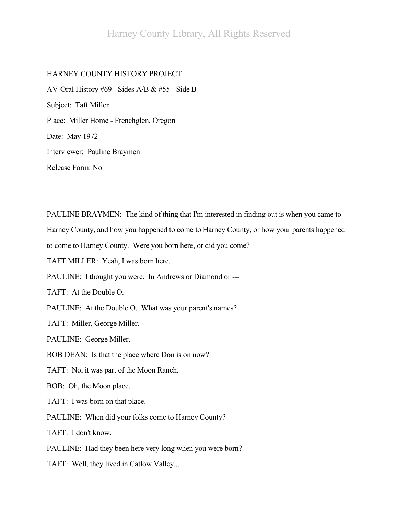# HARNEY COUNTY HISTORY PROJECT

AV-Oral History #69 - Sides A/B & #55 - Side B Subject: Taft Miller Place: Miller Home - Frenchglen, Oregon Date: May 1972 Interviewer: Pauline Braymen Release Form: No

PAULINE BRAYMEN: The kind of thing that I'm interested in finding out is when you came to Harney County, and how you happened to come to Harney County, or how your parents happened to come to Harney County. Were you born here, or did you come? TAFT MILLER: Yeah, I was born here. PAULINE: I thought you were. In Andrews or Diamond or --- TAFT: At the Double O. PAULINE: At the Double O. What was your parent's names? TAFT: Miller, George Miller. PAULINE: George Miller. BOB DEAN: Is that the place where Don is on now? TAFT: No, it was part of the Moon Ranch. BOB: Oh, the Moon place. TAFT: I was born on that place. PAULINE: When did your folks come to Harney County? TAFT: I don't know. PAULINE: Had they been here very long when you were born? TAFT: Well, they lived in Catlow Valley...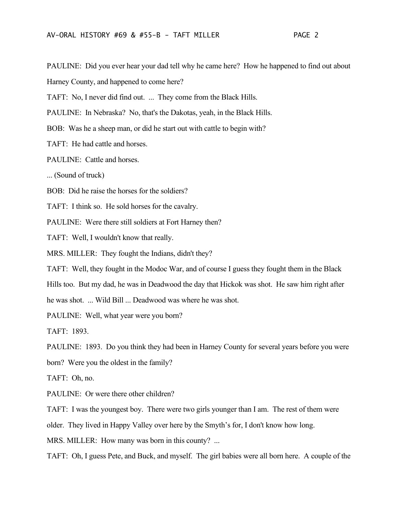PAULINE: Did you ever hear your dad tell why he came here? How he happened to find out about

Harney County, and happened to come here?

TAFT: No, I never did find out. ... They come from the Black Hills.

PAULINE: In Nebraska? No, that's the Dakotas, yeah, in the Black Hills.

BOB: Was he a sheep man, or did he start out with cattle to begin with?

TAFT: He had cattle and horses.

PAULINE: Cattle and horses.

... (Sound of truck)

BOB: Did he raise the horses for the soldiers?

TAFT: I think so. He sold horses for the cavalry.

PAULINE: Were there still soldiers at Fort Harney then?

TAFT: Well, I wouldn't know that really.

MRS. MILLER: They fought the Indians, didn't they?

TAFT: Well, they fought in the Modoc War, and of course I guess they fought them in the Black

Hills too. But my dad, he was in Deadwood the day that Hickok was shot. He saw him right after

he was shot. ... Wild Bill ... Deadwood was where he was shot.

PAULINE: Well, what year were you born?

TAFT: 1893.

PAULINE: 1893. Do you think they had been in Harney County for several years before you were

born? Were you the oldest in the family?

TAFT: Oh, no.

PAULINE: Or were there other children?

TAFT: I was the youngest boy. There were two girls younger than I am. The rest of them were

older. They lived in Happy Valley over here by the Smyth's for, I don't know how long.

MRS. MILLER: How many was born in this county? ...

TAFT: Oh, I guess Pete, and Buck, and myself. The girl babies were all born here. A couple of the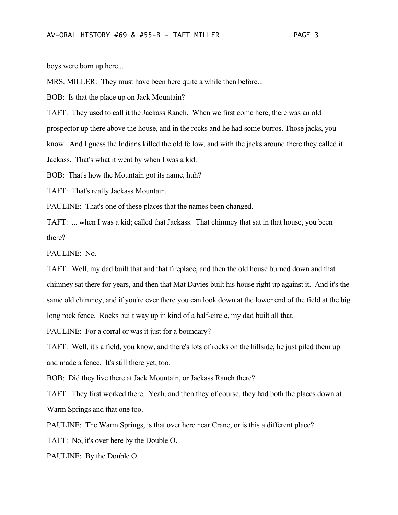boys were born up here...

MRS. MILLER: They must have been here quite a while then before...

BOB: Is that the place up on Jack Mountain?

TAFT: They used to call it the Jackass Ranch. When we first come here, there was an old prospector up there above the house, and in the rocks and he had some burros. Those jacks, you know. And I guess the Indians killed the old fellow, and with the jacks around there they called it Jackass. That's what it went by when I was a kid.

BOB: That's how the Mountain got its name, huh?

TAFT: That's really Jackass Mountain.

PAULINE: That's one of these places that the names been changed.

TAFT: ... when I was a kid; called that Jackass. That chimney that sat in that house, you been there?

PAULINE: No.

TAFT: Well, my dad built that and that fireplace, and then the old house burned down and that chimney sat there for years, and then that Mat Davies built his house right up against it. And it's the same old chimney, and if you're ever there you can look down at the lower end of the field at the big long rock fence. Rocks built way up in kind of a half-circle, my dad built all that.

PAULINE: For a corral or was it just for a boundary?

TAFT: Well, it's a field, you know, and there's lots of rocks on the hillside, he just piled them up and made a fence. It's still there yet, too.

BOB: Did they live there at Jack Mountain, or Jackass Ranch there?

TAFT: They first worked there. Yeah, and then they of course, they had both the places down at Warm Springs and that one too.

PAULINE: The Warm Springs, is that over here near Crane, or is this a different place?

TAFT: No, it's over here by the Double O.

PAULINE: By the Double O.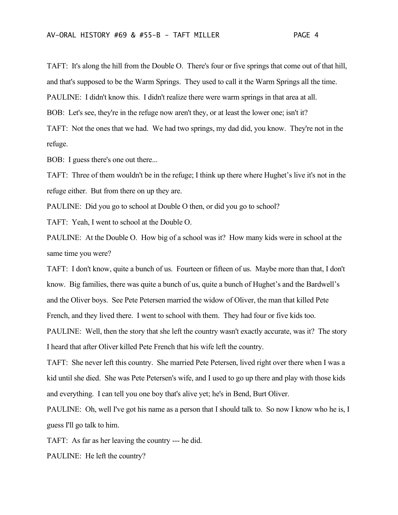TAFT: It's along the hill from the Double O. There's four or five springs that come out of that hill, and that's supposed to be the Warm Springs. They used to call it the Warm Springs all the time. PAULINE: I didn't know this. I didn't realize there were warm springs in that area at all. BOB: Let's see, they're in the refuge now aren't they, or at least the lower one; isn't it?

TAFT: Not the ones that we had. We had two springs, my dad did, you know. They're not in the refuge.

BOB: I guess there's one out there...

TAFT: Three of them wouldn't be in the refuge; I think up there where Hughet's live it's not in the refuge either. But from there on up they are.

PAULINE: Did you go to school at Double O then, or did you go to school?

TAFT: Yeah, I went to school at the Double O.

PAULINE: At the Double O. How big of a school was it? How many kids were in school at the same time you were?

TAFT: I don't know, quite a bunch of us. Fourteen or fifteen of us. Maybe more than that, I don't know. Big families, there was quite a bunch of us, quite a bunch of Hughet's and the Bardwell's and the Oliver boys. See Pete Petersen married the widow of Oliver, the man that killed Pete French, and they lived there. I went to school with them. They had four or five kids too.

PAULINE: Well, then the story that she left the country wasn't exactly accurate, was it? The story I heard that after Oliver killed Pete French that his wife left the country.

TAFT: She never left this country. She married Pete Petersen, lived right over there when I was a kid until she died. She was Pete Petersen's wife, and I used to go up there and play with those kids and everything. I can tell you one boy that's alive yet; he's in Bend, Burt Oliver.

PAULINE: Oh, well I've got his name as a person that I should talk to. So now I know who he is, I guess I'll go talk to him.

TAFT: As far as her leaving the country --- he did.

PAULINE: He left the country?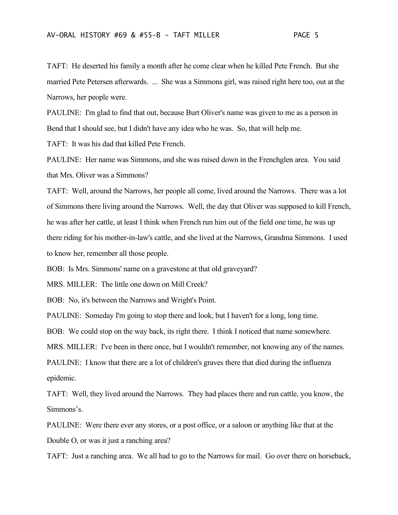TAFT: He deserted his family a month after he come clear when he killed Pete French. But she married Pete Petersen afterwards. ... She was a Simmons girl, was raised right here too, out at the Narrows, her people were.

PAULINE: I'm glad to find that out, because Burt Oliver's name was given to me as a person in Bend that I should see, but I didn't have any idea who he was. So, that will help me.

TAFT: It was his dad that killed Pete French.

PAULINE: Her name was Simmons, and she was raised down in the Frenchglen area. You said that Mrs. Oliver was a Simmons?

TAFT: Well, around the Narrows, her people all come, lived around the Narrows. There was a lot of Simmons there living around the Narrows. Well, the day that Oliver was supposed to kill French, he was after her cattle, at least I think when French run him out of the field one time, he was up there riding for his mother-in-law's cattle, and she lived at the Narrows, Grandma Simmons. I used to know her, remember all those people.

BOB: Is Mrs. Simmons' name on a gravestone at that old graveyard?

MRS. MILLER: The little one down on Mill Creek?

BOB: No, it's between the Narrows and Wright's Point.

PAULINE: Someday I'm going to stop there and look, but I haven't for a long, long time.

BOB: We could stop on the way back, its right there. I think I noticed that name somewhere.

MRS. MILLER: I've been in there once, but I wouldn't remember, not knowing any of the names.

PAULINE: I know that there are a lot of children's graves there that died during the influenza epidemic.

TAFT: Well, they lived around the Narrows. They had places there and run cattle, you know, the Simmons's.

PAULINE: Were there ever any stores, or a post office, or a saloon or anything like that at the Double O, or was it just a ranching area?

TAFT: Just a ranching area. We all had to go to the Narrows for mail. Go over there on horseback,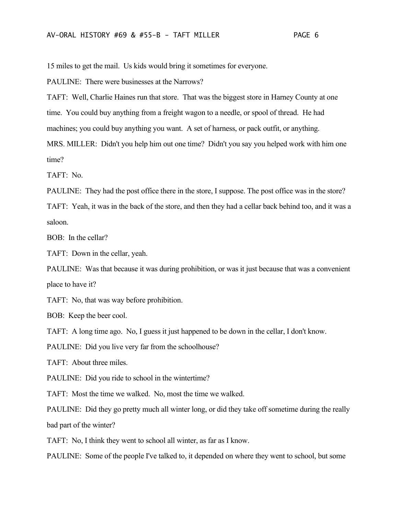15 miles to get the mail. Us kids would bring it sometimes for everyone.

PAULINE: There were businesses at the Narrows?

TAFT: Well, Charlie Haines run that store. That was the biggest store in Harney County at one time. You could buy anything from a freight wagon to a needle, or spool of thread. He had machines; you could buy anything you want. A set of harness, or pack outfit, or anything.

MRS. MILLER: Didn't you help him out one time? Didn't you say you helped work with him one time?

TAFT: No.

PAULINE: They had the post office there in the store, I suppose. The post office was in the store?

TAFT: Yeah, it was in the back of the store, and then they had a cellar back behind too, and it was a saloon.

BOB: In the cellar?

TAFT: Down in the cellar, yeah.

PAULINE: Was that because it was during prohibition, or was it just because that was a convenient place to have it?

TAFT: No, that was way before prohibition.

BOB: Keep the beer cool.

TAFT: A long time ago. No, I guess it just happened to be down in the cellar, I don't know.

PAULINE: Did you live very far from the schoolhouse?

TAFT: About three miles.

PAULINE: Did you ride to school in the wintertime?

TAFT: Most the time we walked. No, most the time we walked.

PAULINE: Did they go pretty much all winter long, or did they take off sometime during the really bad part of the winter?

TAFT: No, I think they went to school all winter, as far as I know.

PAULINE: Some of the people I've talked to, it depended on where they went to school, but some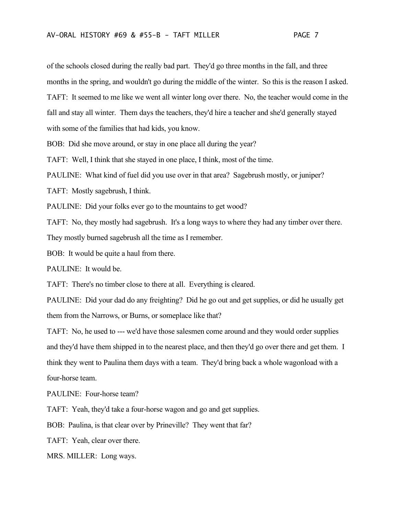of the schools closed during the really bad part. They'd go three months in the fall, and three months in the spring, and wouldn't go during the middle of the winter. So this is the reason I asked. TAFT: It seemed to me like we went all winter long over there. No, the teacher would come in the fall and stay all winter. Them days the teachers, they'd hire a teacher and she'd generally stayed with some of the families that had kids, you know.

BOB: Did she move around, or stay in one place all during the year?

TAFT: Well, I think that she stayed in one place, I think, most of the time.

PAULINE: What kind of fuel did you use over in that area? Sagebrush mostly, or juniper?

TAFT: Mostly sagebrush, I think.

PAULINE: Did your folks ever go to the mountains to get wood?

TAFT: No, they mostly had sagebrush. It's a long ways to where they had any timber over there.

They mostly burned sagebrush all the time as I remember.

BOB: It would be quite a haul from there.

PAULINE: It would be.

TAFT: There's no timber close to there at all. Everything is cleared.

PAULINE: Did your dad do any freighting? Did he go out and get supplies, or did he usually get them from the Narrows, or Burns, or someplace like that?

TAFT: No, he used to --- we'd have those salesmen come around and they would order supplies and they'd have them shipped in to the nearest place, and then they'd go over there and get them. I think they went to Paulina them days with a team. They'd bring back a whole wagonload with a four-horse team.

PAULINE: Four-horse team?

TAFT: Yeah, they'd take a four-horse wagon and go and get supplies.

BOB: Paulina, is that clear over by Prineville? They went that far?

TAFT: Yeah, clear over there.

MRS. MILLER: Long ways.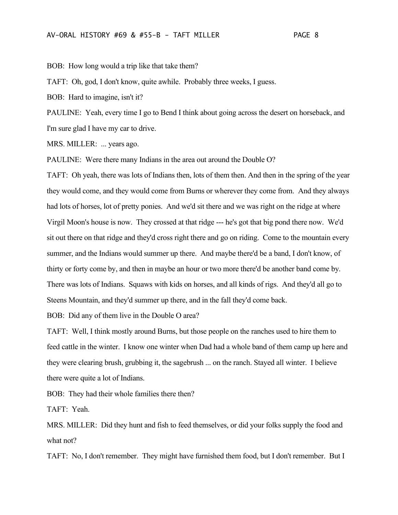BOB: How long would a trip like that take them?

TAFT: Oh, god, I don't know, quite awhile. Probably three weeks, I guess.

BOB: Hard to imagine, isn't it?

PAULINE: Yeah, every time I go to Bend I think about going across the desert on horseback, and I'm sure glad I have my car to drive.

MRS. MILLER: ... years ago.

PAULINE: Were there many Indians in the area out around the Double O?

TAFT: Oh yeah, there was lots of Indians then, lots of them then. And then in the spring of the year they would come, and they would come from Burns or wherever they come from. And they always had lots of horses, lot of pretty ponies. And we'd sit there and we was right on the ridge at where Virgil Moon's house is now. They crossed at that ridge --- he's got that big pond there now. We'd sit out there on that ridge and they'd cross right there and go on riding. Come to the mountain every summer, and the Indians would summer up there. And maybe there'd be a band, I don't know, of thirty or forty come by, and then in maybe an hour or two more there'd be another band come by. There was lots of Indians. Squaws with kids on horses, and all kinds of rigs. And they'd all go to Steens Mountain, and they'd summer up there, and in the fall they'd come back.

BOB: Did any of them live in the Double O area?

TAFT: Well, I think mostly around Burns, but those people on the ranches used to hire them to feed cattle in the winter. I know one winter when Dad had a whole band of them camp up here and they were clearing brush, grubbing it, the sagebrush ... on the ranch. Stayed all winter. I believe there were quite a lot of Indians.

BOB: They had their whole families there then?

TAFT: Yeah.

MRS. MILLER: Did they hunt and fish to feed themselves, or did your folks supply the food and what not?

TAFT: No, I don't remember. They might have furnished them food, but I don't remember. But I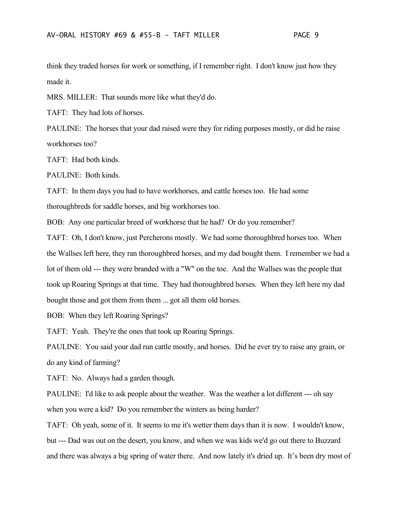think they traded horses for work or something, if I remember right. I don't know just how they made it.

MRS. MILLER: That sounds more like what they'd do.

TAFT: They had lots of horses.

PAULINE: The horses that your dad raised were they for riding purposes mostly, or did he raise workhorses too?

TAFT: Had both kinds.

PAULINE: Both kinds.

TAFT: In them days you had to have workhorses, and cattle horses too. He had some thoroughbreds for saddle horses, and big workhorses too.

BOB: Any one particular breed of workhorse that he had? Or do you remember?

TAFT: Oh, I don't know, just Percherons mostly. We had some thoroughbred horses too. When the Wallses left here, they ran thoroughbred horses, and my dad bought them. I remember we had a lot of them old --- they were branded with a "W" on the toe. And the Wallses was the people that took up Roaring Springs at that time. They had thoroughbred horses. When they left here my dad bought those and got them from them ... got all them old horses.

BOB: When they left Roaring Springs?

TAFT: Yeah. They're the ones that took up Roaring Springs.

PAULINE: You said your dad run cattle mostly, and horses. Did he ever try to raise any grain, or do any kind of farming?

TAFT: No. Always had a garden though.

PAULINE: I'd like to ask people about the weather. Was the weather a lot different --- oh say when you were a kid? Do you remember the winters as being harder?

TAFT: Oh yeah, some of it. It seems to me it's wetter them days than it is now. I wouldn't know, but --- Dad was out on the desert, you know, and when we was kids we'd go out there to Buzzard and there was always a big spring of water there. And now lately it's dried up. It's been dry most of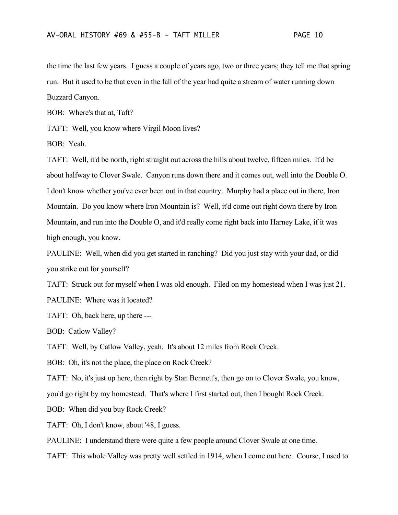the time the last few years. I guess a couple of years ago, two or three years; they tell me that spring run. But it used to be that even in the fall of the year had quite a stream of water running down Buzzard Canyon.

BOB: Where's that at, Taft?

TAFT: Well, you know where Virgil Moon lives?

BOB: Yeah.

TAFT: Well, it'd be north, right straight out across the hills about twelve, fifteen miles. It'd be about halfway to Clover Swale. Canyon runs down there and it comes out, well into the Double O. I don't know whether you've ever been out in that country. Murphy had a place out in there, Iron Mountain. Do you know where Iron Mountain is? Well, it'd come out right down there by Iron Mountain, and run into the Double O, and it'd really come right back into Harney Lake, if it was high enough, you know.

PAULINE: Well, when did you get started in ranching? Did you just stay with your dad, or did you strike out for yourself?

TAFT: Struck out for myself when I was old enough. Filed on my homestead when I was just 21. PAULINE: Where was it located?

TAFT: Oh, back here, up there ---

BOB: Catlow Valley?

TAFT: Well, by Catlow Valley, yeah. It's about 12 miles from Rock Creek.

BOB: Oh, it's not the place, the place on Rock Creek?

TAFT: No, it's just up here, then right by Stan Bennett's, then go on to Clover Swale, you know,

you'd go right by my homestead. That's where I first started out, then I bought Rock Creek.

BOB: When did you buy Rock Creek?

TAFT: Oh, I don't know, about '48, I guess.

PAULINE: I understand there were quite a few people around Clover Swale at one time.

TAFT: This whole Valley was pretty well settled in 1914, when I come out here. Course, I used to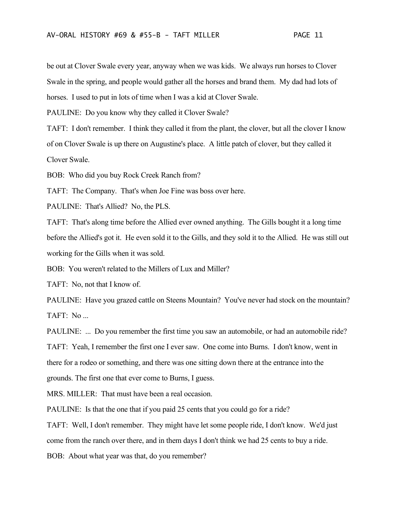be out at Clover Swale every year, anyway when we was kids. We always run horses to Clover Swale in the spring, and people would gather all the horses and brand them. My dad had lots of horses. I used to put in lots of time when I was a kid at Clover Swale.

PAULINE: Do you know why they called it Clover Swale?

TAFT: I don't remember. I think they called it from the plant, the clover, but all the clover I know of on Clover Swale is up there on Augustine's place. A little patch of clover, but they called it Clover Swale.

BOB: Who did you buy Rock Creek Ranch from?

TAFT: The Company. That's when Joe Fine was boss over here.

PAULINE: That's Allied? No, the PLS.

TAFT: That's along time before the Allied ever owned anything. The Gills bought it a long time before the Allied's got it. He even sold it to the Gills, and they sold it to the Allied. He was still out working for the Gills when it was sold.

BOB: You weren't related to the Millers of Lux and Miller?

TAFT: No, not that I know of.

PAULINE: Have you grazed cattle on Steens Mountain? You've never had stock on the mountain? TAFT: No ...

PAULINE: ... Do you remember the first time you saw an automobile, or had an automobile ride? TAFT: Yeah, I remember the first one I ever saw. One come into Burns. I don't know, went in there for a rodeo or something, and there was one sitting down there at the entrance into the grounds. The first one that ever come to Burns, I guess.

MRS. MILLER: That must have been a real occasion.

PAULINE: Is that the one that if you paid 25 cents that you could go for a ride?

TAFT: Well, I don't remember. They might have let some people ride, I don't know. We'd just come from the ranch over there, and in them days I don't think we had 25 cents to buy a ride.

BOB: About what year was that, do you remember?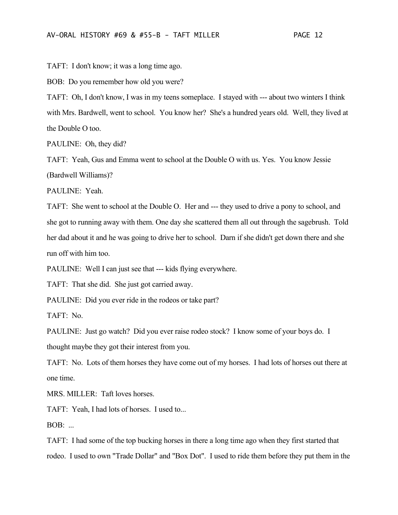TAFT: I don't know; it was a long time ago.

BOB: Do you remember how old you were?

TAFT: Oh, I don't know, I was in my teens someplace. I stayed with --- about two winters I think with Mrs. Bardwell, went to school. You know her? She's a hundred years old. Well, they lived at the Double O too.

PAULINE: Oh, they did?

TAFT: Yeah, Gus and Emma went to school at the Double O with us. Yes. You know Jessie (Bardwell Williams)?

PAULINE: Yeah.

TAFT: She went to school at the Double O. Her and --- they used to drive a pony to school, and she got to running away with them. One day she scattered them all out through the sagebrush. Told her dad about it and he was going to drive her to school. Darn if she didn't get down there and she run off with him too.

PAULINE: Well I can just see that --- kids flying everywhere.

TAFT: That she did. She just got carried away.

PAULINE: Did you ever ride in the rodeos or take part?

TAFT: No.

PAULINE: Just go watch? Did you ever raise rodeo stock? I know some of your boys do. I thought maybe they got their interest from you.

TAFT: No. Lots of them horses they have come out of my horses. I had lots of horses out there at one time.

MRS. MILLER: Taft loves horses.

TAFT: Yeah, I had lots of horses. I used to...

BOB: ...

TAFT: I had some of the top bucking horses in there a long time ago when they first started that rodeo. I used to own "Trade Dollar" and "Box Dot". I used to ride them before they put them in the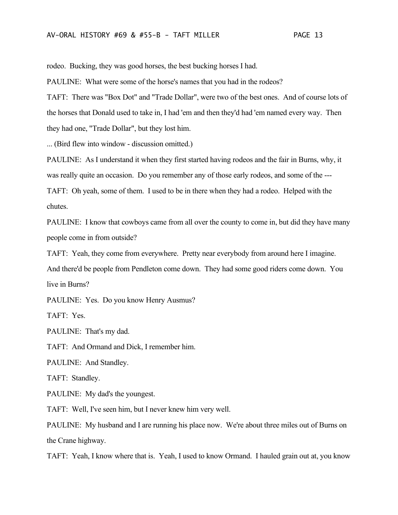rodeo. Bucking, they was good horses, the best bucking horses I had.

PAULINE: What were some of the horse's names that you had in the rodeos?

TAFT: There was "Box Dot" and "Trade Dollar", were two of the best ones. And of course lots of the horses that Donald used to take in, I had 'em and then they'd had 'em named every way. Then they had one, "Trade Dollar", but they lost him.

... (Bird flew into window - discussion omitted.)

PAULINE: As I understand it when they first started having rodeos and the fair in Burns, why, it was really quite an occasion. Do you remember any of those early rodeos, and some of the --- TAFT: Oh yeah, some of them. I used to be in there when they had a rodeo. Helped with the chutes.

PAULINE: I know that cowboys came from all over the county to come in, but did they have many people come in from outside?

TAFT: Yeah, they come from everywhere. Pretty near everybody from around here I imagine. And there'd be people from Pendleton come down. They had some good riders come down. You live in Burns?

PAULINE: Yes. Do you know Henry Ausmus?

TAFT: Yes.

PAULINE: That's my dad.

TAFT: And Ormand and Dick, I remember him.

PAULINE: And Standley.

TAFT: Standley.

PAULINE: My dad's the youngest.

TAFT: Well, I've seen him, but I never knew him very well.

PAULINE: My husband and I are running his place now. We're about three miles out of Burns on the Crane highway.

TAFT: Yeah, I know where that is. Yeah, I used to know Ormand. I hauled grain out at, you know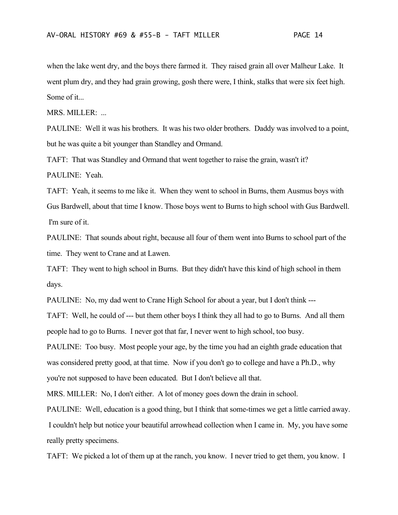when the lake went dry, and the boys there farmed it. They raised grain all over Malheur Lake. It went plum dry, and they had grain growing, gosh there were, I think, stalks that were six feet high. Some of it...

MRS. MILLER: ...

PAULINE: Well it was his brothers. It was his two older brothers. Daddy was involved to a point, but he was quite a bit younger than Standley and Ormand.

TAFT: That was Standley and Ormand that went together to raise the grain, wasn't it? PAULINE: Yeah.

TAFT: Yeah, it seems to me like it. When they went to school in Burns, them Ausmus boys with Gus Bardwell, about that time I know. Those boys went to Burns to high school with Gus Bardwell. I'm sure of it.

PAULINE: That sounds about right, because all four of them went into Burns to school part of the time. They went to Crane and at Lawen.

TAFT: They went to high school in Burns. But they didn't have this kind of high school in them days.

PAULINE: No, my dad went to Crane High School for about a year, but I don't think ---

TAFT: Well, he could of --- but them other boys I think they all had to go to Burns. And all them people had to go to Burns. I never got that far, I never went to high school, too busy.

PAULINE: Too busy. Most people your age, by the time you had an eighth grade education that was considered pretty good, at that time. Now if you don't go to college and have a Ph.D., why you're not supposed to have been educated. But I don't believe all that.

MRS. MILLER: No, I don't either. A lot of money goes down the drain in school.

PAULINE: Well, education is a good thing, but I think that some-times we get a little carried away. I couldn't help but notice your beautiful arrowhead collection when I came in. My, you have some really pretty specimens.

TAFT: We picked a lot of them up at the ranch, you know. I never tried to get them, you know. I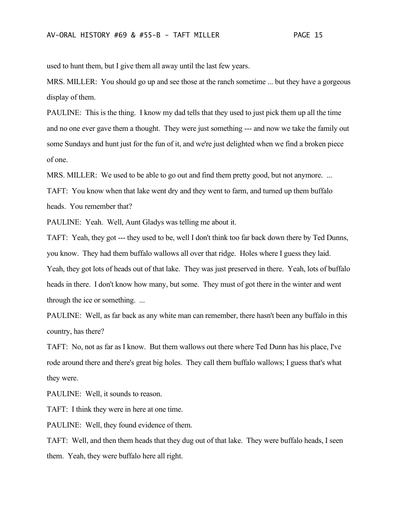used to hunt them, but I give them all away until the last few years.

MRS. MILLER: You should go up and see those at the ranch sometime ... but they have a gorgeous display of them.

PAULINE: This is the thing. I know my dad tells that they used to just pick them up all the time and no one ever gave them a thought. They were just something --- and now we take the family out some Sundays and hunt just for the fun of it, and we're just delighted when we find a broken piece of one.

MRS. MILLER: We used to be able to go out and find them pretty good, but not anymore. ...

TAFT: You know when that lake went dry and they went to farm, and turned up them buffalo heads. You remember that?

PAULINE: Yeah. Well, Aunt Gladys was telling me about it.

TAFT: Yeah, they got --- they used to be, well I don't think too far back down there by Ted Dunns, you know. They had them buffalo wallows all over that ridge. Holes where I guess they laid. Yeah, they got lots of heads out of that lake. They was just preserved in there. Yeah, lots of buffalo heads in there. I don't know how many, but some. They must of got there in the winter and went through the ice or something. ...

PAULINE: Well, as far back as any white man can remember, there hasn't been any buffalo in this country, has there?

TAFT: No, not as far as I know. But them wallows out there where Ted Dunn has his place, I've rode around there and there's great big holes. They call them buffalo wallows; I guess that's what they were.

PAULINE: Well, it sounds to reason.

TAFT: I think they were in here at one time.

PAULINE: Well, they found evidence of them.

TAFT: Well, and then them heads that they dug out of that lake. They were buffalo heads, I seen them. Yeah, they were buffalo here all right.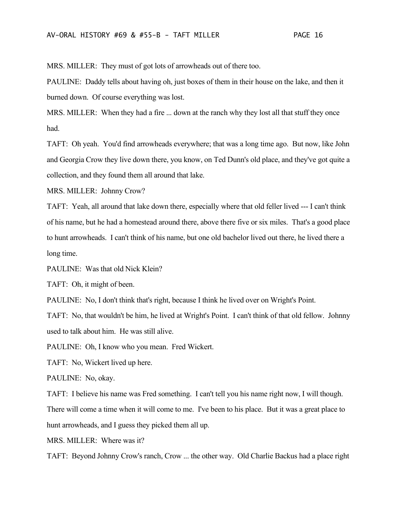MRS. MILLER: They must of got lots of arrowheads out of there too.

PAULINE: Daddy tells about having oh, just boxes of them in their house on the lake, and then it burned down. Of course everything was lost.

MRS. MILLER: When they had a fire ... down at the ranch why they lost all that stuff they once had.

TAFT: Oh yeah. You'd find arrowheads everywhere; that was a long time ago. But now, like John and Georgia Crow they live down there, you know, on Ted Dunn's old place, and they've got quite a collection, and they found them all around that lake.

MRS. MILLER: Johnny Crow?

TAFT: Yeah, all around that lake down there, especially where that old feller lived --- I can't think of his name, but he had a homestead around there, above there five or six miles. That's a good place to hunt arrowheads. I can't think of his name, but one old bachelor lived out there, he lived there a long time.

PAULINE: Was that old Nick Klein?

TAFT: Oh, it might of been.

PAULINE: No, I don't think that's right, because I think he lived over on Wright's Point.

TAFT: No, that wouldn't be him, he lived at Wright's Point. I can't think of that old fellow. Johnny used to talk about him. He was still alive.

PAULINE: Oh, I know who you mean. Fred Wickert.

TAFT: No, Wickert lived up here.

PAULINE: No, okay.

TAFT: I believe his name was Fred something. I can't tell you his name right now, I will though.

There will come a time when it will come to me. I've been to his place. But it was a great place to hunt arrowheads, and I guess they picked them all up.

MRS. MILLER: Where was it?

TAFT: Beyond Johnny Crow's ranch, Crow ... the other way. Old Charlie Backus had a place right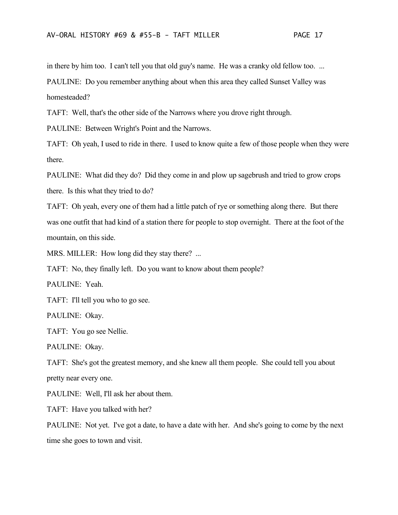in there by him too. I can't tell you that old guy's name. He was a cranky old fellow too. ... PAULINE: Do you remember anything about when this area they called Sunset Valley was homesteaded?

TAFT: Well, that's the other side of the Narrows where you drove right through.

PAULINE: Between Wright's Point and the Narrows.

TAFT: Oh yeah, I used to ride in there. I used to know quite a few of those people when they were there.

PAULINE: What did they do? Did they come in and plow up sagebrush and tried to grow crops there. Is this what they tried to do?

TAFT: Oh yeah, every one of them had a little patch of rye or something along there. But there was one outfit that had kind of a station there for people to stop overnight. There at the foot of the mountain, on this side.

MRS. MILLER: How long did they stay there? ...

TAFT: No, they finally left. Do you want to know about them people?

PAULINE: Yeah.

TAFT: I'll tell you who to go see.

PAULINE: Okay.

TAFT: You go see Nellie.

PAULINE: Okay.

TAFT: She's got the greatest memory, and she knew all them people. She could tell you about pretty near every one.

PAULINE: Well, I'll ask her about them.

TAFT: Have you talked with her?

PAULINE: Not yet. I've got a date, to have a date with her. And she's going to come by the next time she goes to town and visit.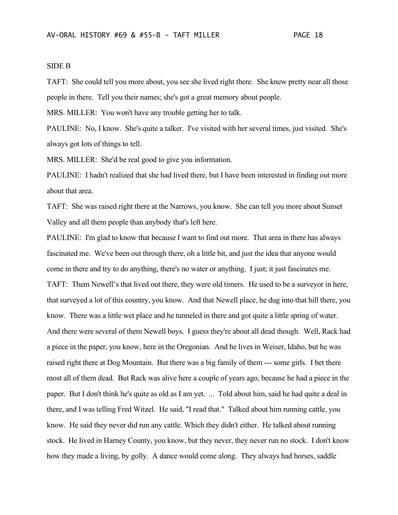# SIDE B

TAFT: She could tell you more about, you see she lived right there. She knew pretty near all those people in there. Tell you their names; she's got a great memory about people.

MRS. MILLER: You won't have any trouble getting her to talk.

PAULINE: No, I know. She's quite a talker. I've visited with her several times, just visited. She's always got lots of things to tell.

MRS. MILLER: She'd be real good to give you information.

PAULINE: I hadn't realized that she had lived there, but I have been interested in finding out more about that area.

TAFT: She was raised right there at the Narrows, you know. She can tell you more about Sunset Valley and all them people than anybody that's left here.

PAULINE: I'm glad to know that because I want to find out more. That area in there has always fascinated me. We've been out through there, oh a little bit, and just the idea that anyone would come in there and try to do anything, there's no water or anything. I just; it just fascinates me. TAFT: Them Newell's that lived out there, they were old timers. He used to be a surveyor in here, that surveyed a lot of this country, you know. And that Newell place, he dug into that hill there, you know. There was a little wet place and he tunneled in there and got quite a little spring of water. And there were several of them Newell boys. I guess they're about all dead though. Well, Rack had a piece in the paper, you know, here in the Oregonian. And he lives in Weiser, Idaho, but he was raised right there at Dog Mountain. But there was a big family of them --- some girls. I bet there most all of them dead. But Rack was alive here a couple of years ago, because he had a piece in the paper. But I don't think he's quite as old as I am yet. ... Told about him, said he had quite a deal in there, and I was telling Fred Witzel. He said, "I read that." Talked about him running cattle, you know. He said they never did run any cattle. Which they didn't either. He talked about running stock. He lived in Harney County, you know, but they never, they never run no stock. I don't know how they made a living, by golly. A dance would come along. They always had horses, saddle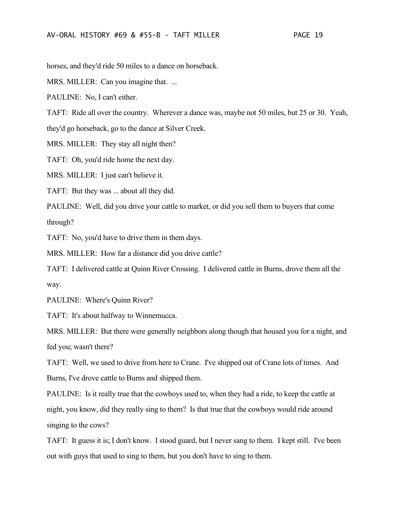horses, and they'd ride 50 miles to a dance on horseback.

MRS. MILLER: Can you imagine that. ...

PAULINE: No, I can't either.

TAFT: Ride all over the country. Wherever a dance was, maybe not 50 miles, but 25 or 30. Yeah, they'd go horseback, go to the dance at Silver Creek.

MRS. MILLER: They stay all night then?

TAFT: Oh, you'd ride home the next day.

MRS. MILLER: I just can't believe it.

TAFT: But they was ... about all they did.

PAULINE: Well, did you drive your cattle to market, or did you sell them to buyers that come through?

TAFT: No, you'd have to drive them in them days.

MRS. MILLER: How far a distance did you drive cattle?

TAFT: I delivered cattle at Quinn River Crossing. I delivered cattle in Burns, drove them all the way.

PAULINE: Where's Quinn River?

TAFT: It's about halfway to Winnemucca.

MRS. MILLER: But there were generally neighbors along though that housed you for a night, and fed you; wasn't there?

TAFT: Well, we used to drive from here to Crane. I've shipped out of Crane lots of times. And Burns, I've drove cattle to Burns and shipped them.

PAULINE: Is it really true that the cowboys used to, when they had a ride, to keep the cattle at night, you know, did they really sing to them? Is that true that the cowboys would ride around singing to the cows?

TAFT: It guess it is; I don't know. I stood guard, but I never sang to them. I kept still. I've been out with guys that used to sing to them, but you don't have to sing to them.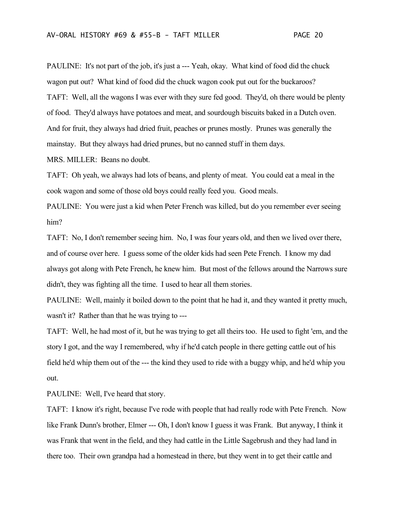PAULINE: It's not part of the job, it's just a --- Yeah, okay. What kind of food did the chuck wagon put out? What kind of food did the chuck wagon cook put out for the buckaroos? TAFT: Well, all the wagons I was ever with they sure fed good. They'd, oh there would be plenty of food. They'd always have potatoes and meat, and sourdough biscuits baked in a Dutch oven. And for fruit, they always had dried fruit, peaches or prunes mostly. Prunes was generally the mainstay. But they always had dried prunes, but no canned stuff in them days.

MRS. MILLER: Beans no doubt.

TAFT: Oh yeah, we always had lots of beans, and plenty of meat. You could eat a meal in the cook wagon and some of those old boys could really feed you. Good meals.

PAULINE: You were just a kid when Peter French was killed, but do you remember ever seeing him?

TAFT: No, I don't remember seeing him. No, I was four years old, and then we lived over there, and of course over here. I guess some of the older kids had seen Pete French. I know my dad always got along with Pete French, he knew him. But most of the fellows around the Narrows sure didn't, they was fighting all the time. I used to hear all them stories.

PAULINE: Well, mainly it boiled down to the point that he had it, and they wanted it pretty much, wasn't it? Rather than that he was trying to ---

TAFT: Well, he had most of it, but he was trying to get all theirs too. He used to fight 'em, and the story I got, and the way I remembered, why if he'd catch people in there getting cattle out of his field he'd whip them out of the --- the kind they used to ride with a buggy whip, and he'd whip you out.

PAULINE: Well, I've heard that story.

TAFT: I know it's right, because I've rode with people that had really rode with Pete French. Now like Frank Dunn's brother, Elmer --- Oh, I don't know I guess it was Frank. But anyway, I think it was Frank that went in the field, and they had cattle in the Little Sagebrush and they had land in there too. Their own grandpa had a homestead in there, but they went in to get their cattle and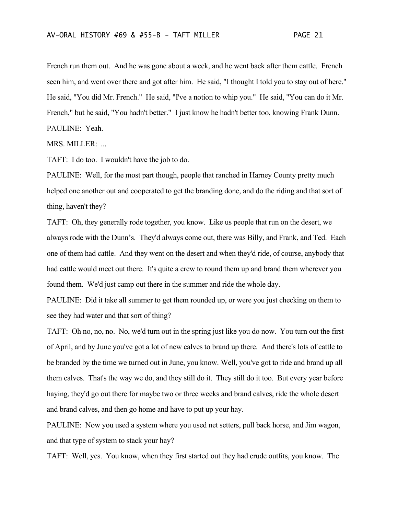French run them out. And he was gone about a week, and he went back after them cattle. French seen him, and went over there and got after him. He said, "I thought I told you to stay out of here." He said, "You did Mr. French." He said, "I've a notion to whip you." He said, "You can do it Mr. French," but he said, "You hadn't better." I just know he hadn't better too, knowing Frank Dunn. PAULINE: Yeah.

MRS. MILLER: ...

TAFT: I do too. I wouldn't have the job to do.

PAULINE: Well, for the most part though, people that ranched in Harney County pretty much helped one another out and cooperated to get the branding done, and do the riding and that sort of thing, haven't they?

TAFT: Oh, they generally rode together, you know. Like us people that run on the desert, we always rode with the Dunn's. They'd always come out, there was Billy, and Frank, and Ted. Each one of them had cattle. And they went on the desert and when they'd ride, of course, anybody that had cattle would meet out there. It's quite a crew to round them up and brand them wherever you found them. We'd just camp out there in the summer and ride the whole day.

PAULINE: Did it take all summer to get them rounded up, or were you just checking on them to see they had water and that sort of thing?

TAFT: Oh no, no, no. No, we'd turn out in the spring just like you do now. You turn out the first of April, and by June you've got a lot of new calves to brand up there. And there's lots of cattle to be branded by the time we turned out in June, you know. Well, you've got to ride and brand up all them calves. That's the way we do, and they still do it. They still do it too. But every year before haying, they'd go out there for maybe two or three weeks and brand calves, ride the whole desert and brand calves, and then go home and have to put up your hay.

PAULINE: Now you used a system where you used net setters, pull back horse, and Jim wagon, and that type of system to stack your hay?

TAFT: Well, yes. You know, when they first started out they had crude outfits, you know. The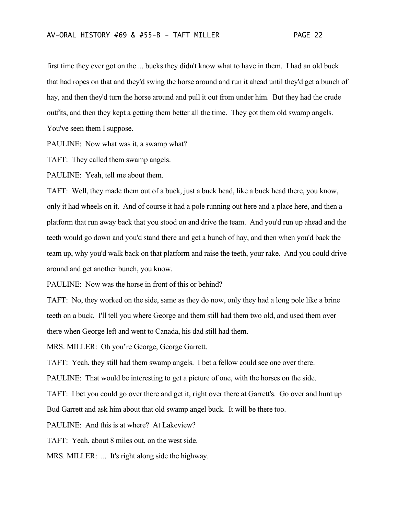first time they ever got on the ... bucks they didn't know what to have in them. I had an old buck that had ropes on that and they'd swing the horse around and run it ahead until they'd get a bunch of hay, and then they'd turn the horse around and pull it out from under him. But they had the crude outfits, and then they kept a getting them better all the time. They got them old swamp angels. You've seen them I suppose.

PAULINE: Now what was it, a swamp what?

TAFT: They called them swamp angels.

PAULINE: Yeah, tell me about them.

TAFT: Well, they made them out of a buck, just a buck head, like a buck head there, you know, only it had wheels on it. And of course it had a pole running out here and a place here, and then a platform that run away back that you stood on and drive the team. And you'd run up ahead and the teeth would go down and you'd stand there and get a bunch of hay, and then when you'd back the team up, why you'd walk back on that platform and raise the teeth, your rake. And you could drive around and get another bunch, you know.

PAULINE: Now was the horse in front of this or behind?

TAFT: No, they worked on the side, same as they do now, only they had a long pole like a brine teeth on a buck. I'll tell you where George and them still had them two old, and used them over there when George left and went to Canada, his dad still had them.

MRS. MILLER: Oh you're George, George Garrett.

TAFT: Yeah, they still had them swamp angels. I bet a fellow could see one over there.

PAULINE: That would be interesting to get a picture of one, with the horses on the side.

TAFT: I bet you could go over there and get it, right over there at Garrett's. Go over and hunt up Bud Garrett and ask him about that old swamp angel buck. It will be there too.

PAULINE: And this is at where? At Lakeview?

TAFT: Yeah, about 8 miles out, on the west side.

MRS. MILLER: ... It's right along side the highway.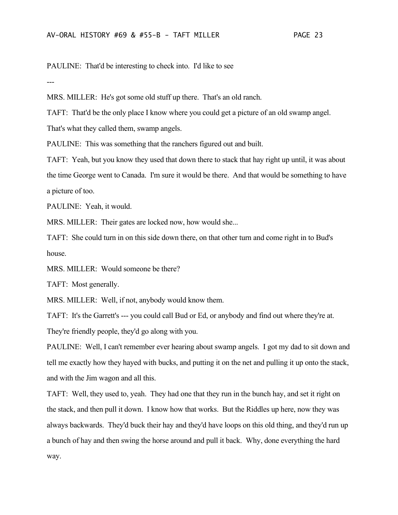PAULINE: That'd be interesting to check into. I'd like to see

---

MRS. MILLER: He's got some old stuff up there. That's an old ranch.

TAFT: That'd be the only place I know where you could get a picture of an old swamp angel.

That's what they called them, swamp angels.

PAULINE: This was something that the ranchers figured out and built.

TAFT: Yeah, but you know they used that down there to stack that hay right up until, it was about the time George went to Canada. I'm sure it would be there. And that would be something to have a picture of too.

PAULINE: Yeah, it would.

MRS. MILLER: Their gates are locked now, how would she...

TAFT: She could turn in on this side down there, on that other turn and come right in to Bud's house.

MRS. MILLER: Would someone be there?

TAFT: Most generally.

MRS. MILLER: Well, if not, anybody would know them.

TAFT: It's the Garrett's --- you could call Bud or Ed, or anybody and find out where they're at.

They're friendly people, they'd go along with you.

PAULINE: Well, I can't remember ever hearing about swamp angels. I got my dad to sit down and tell me exactly how they hayed with bucks, and putting it on the net and pulling it up onto the stack, and with the Jim wagon and all this.

TAFT: Well, they used to, yeah. They had one that they run in the bunch hay, and set it right on the stack, and then pull it down. I know how that works. But the Riddles up here, now they was always backwards. They'd buck their hay and they'd have loops on this old thing, and they'd run up a bunch of hay and then swing the horse around and pull it back. Why, done everything the hard way.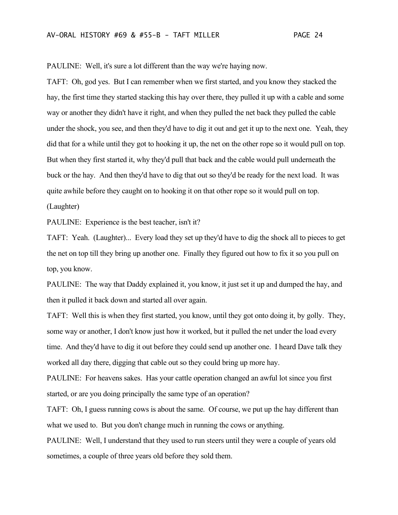PAULINE: Well, it's sure a lot different than the way we're haying now.

TAFT: Oh, god yes. But I can remember when we first started, and you know they stacked the hay, the first time they started stacking this hay over there, they pulled it up with a cable and some way or another they didn't have it right, and when they pulled the net back they pulled the cable under the shock, you see, and then they'd have to dig it out and get it up to the next one. Yeah, they did that for a while until they got to hooking it up, the net on the other rope so it would pull on top. But when they first started it, why they'd pull that back and the cable would pull underneath the buck or the hay. And then they'd have to dig that out so they'd be ready for the next load. It was quite awhile before they caught on to hooking it on that other rope so it would pull on top. (Laughter)

PAULINE: Experience is the best teacher, isn't it?

TAFT: Yeah. (Laughter)... Every load they set up they'd have to dig the shock all to pieces to get the net on top till they bring up another one. Finally they figured out how to fix it so you pull on top, you know.

PAULINE: The way that Daddy explained it, you know, it just set it up and dumped the hay, and then it pulled it back down and started all over again.

TAFT: Well this is when they first started, you know, until they got onto doing it, by golly. They, some way or another, I don't know just how it worked, but it pulled the net under the load every time. And they'd have to dig it out before they could send up another one. I heard Dave talk they worked all day there, digging that cable out so they could bring up more hay.

PAULINE: For heavens sakes. Has your cattle operation changed an awful lot since you first started, or are you doing principally the same type of an operation?

TAFT: Oh, I guess running cows is about the same. Of course, we put up the hay different than what we used to. But you don't change much in running the cows or anything.

PAULINE: Well, I understand that they used to run steers until they were a couple of years old sometimes, a couple of three years old before they sold them.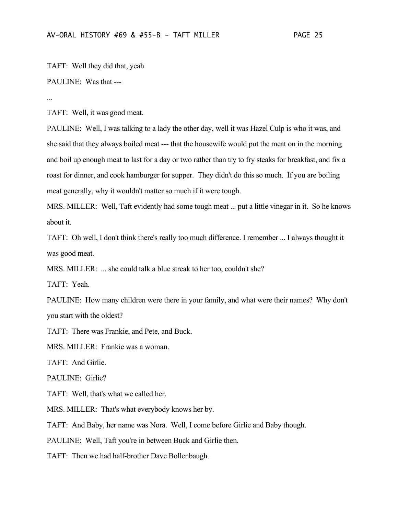TAFT: Well they did that, yeah.

## PAULINE: Was that ---

...

TAFT: Well, it was good meat.

PAULINE: Well, I was talking to a lady the other day, well it was Hazel Culp is who it was, and she said that they always boiled meat --- that the housewife would put the meat on in the morning and boil up enough meat to last for a day or two rather than try to fry steaks for breakfast, and fix a roast for dinner, and cook hamburger for supper. They didn't do this so much. If you are boiling meat generally, why it wouldn't matter so much if it were tough.

MRS. MILLER: Well, Taft evidently had some tough meat ... put a little vinegar in it. So he knows about it.

TAFT: Oh well, I don't think there's really too much difference. I remember ... I always thought it was good meat.

MRS. MILLER: ... she could talk a blue streak to her too, couldn't she?

TAFT: Yeah.

PAULINE: How many children were there in your family, and what were their names? Why don't you start with the oldest?

TAFT: There was Frankie, and Pete, and Buck.

MRS. MILLER: Frankie was a woman.

TAFT: And Girlie.

PAULINE: Girlie?

TAFT: Well, that's what we called her.

MRS. MILLER: That's what everybody knows her by.

TAFT: And Baby, her name was Nora. Well, I come before Girlie and Baby though.

PAULINE: Well, Taft you're in between Buck and Girlie then.

TAFT: Then we had half-brother Dave Bollenbaugh.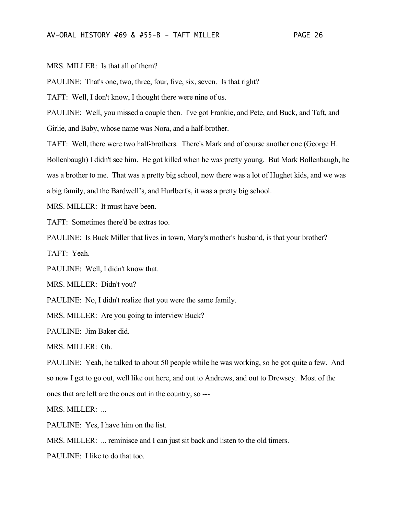MRS. MILLER: Is that all of them?

PAULINE: That's one, two, three, four, five, six, seven. Is that right?

TAFT: Well, I don't know, I thought there were nine of us.

PAULINE: Well, you missed a couple then. I've got Frankie, and Pete, and Buck, and Taft, and Girlie, and Baby, whose name was Nora, and a half-brother.

TAFT: Well, there were two half-brothers. There's Mark and of course another one (George H. Bollenbaugh) I didn't see him. He got killed when he was pretty young. But Mark Bollenbaugh, he

was a brother to me. That was a pretty big school, now there was a lot of Hughet kids, and we was

a big family, and the Bardwell's, and Hurlbert's, it was a pretty big school.

MRS. MILLER: It must have been.

TAFT: Sometimes there'd be extras too.

PAULINE: Is Buck Miller that lives in town, Mary's mother's husband, is that your brother? TAFT: Yeah.

PAULINE: Well, I didn't know that.

MRS. MILLER: Didn't you?

PAULINE: No, I didn't realize that you were the same family.

MRS. MILLER: Are you going to interview Buck?

PAULINE: Jim Baker did.

MRS. MILLER: Oh.

PAULINE: Yeah, he talked to about 50 people while he was working, so he got quite a few. And so now I get to go out, well like out here, and out to Andrews, and out to Drewsey. Most of the ones that are left are the ones out in the country, so ---

MRS. MILLER: ...

PAULINE: Yes, I have him on the list.

MRS. MILLER: ... reminisce and I can just sit back and listen to the old timers.

PAULINE: I like to do that too.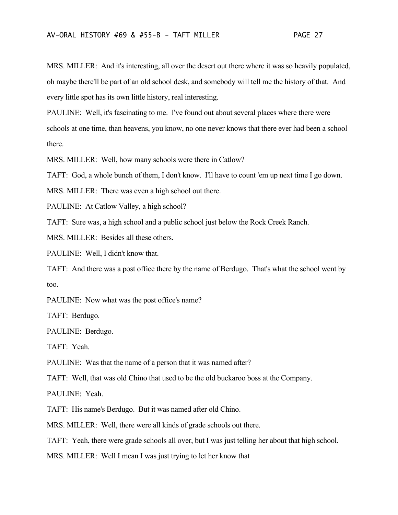MRS. MILLER: And it's interesting, all over the desert out there where it was so heavily populated, oh maybe there'll be part of an old school desk, and somebody will tell me the history of that. And every little spot has its own little history, real interesting.

PAULINE: Well, it's fascinating to me. I've found out about several places where there were schools at one time, than heavens, you know, no one never knows that there ever had been a school there.

MRS. MILLER: Well, how many schools were there in Catlow?

TAFT: God, a whole bunch of them, I don't know. I'll have to count 'em up next time I go down.

MRS. MILLER: There was even a high school out there.

PAULINE: At Catlow Valley, a high school?

TAFT: Sure was, a high school and a public school just below the Rock Creek Ranch.

MRS. MILLER: Besides all these others.

PAULINE: Well, I didn't know that.

TAFT: And there was a post office there by the name of Berdugo. That's what the school went by too.

PAULINE: Now what was the post office's name?

TAFT: Berdugo.

PAULINE: Berdugo.

TAFT: Yeah.

PAULINE: Was that the name of a person that it was named after?

TAFT: Well, that was old Chino that used to be the old buckaroo boss at the Company.

PAULINE: Yeah.

TAFT: His name's Berdugo. But it was named after old Chino.

MRS. MILLER: Well, there were all kinds of grade schools out there.

TAFT: Yeah, there were grade schools all over, but I was just telling her about that high school.

MRS. MILLER: Well I mean I was just trying to let her know that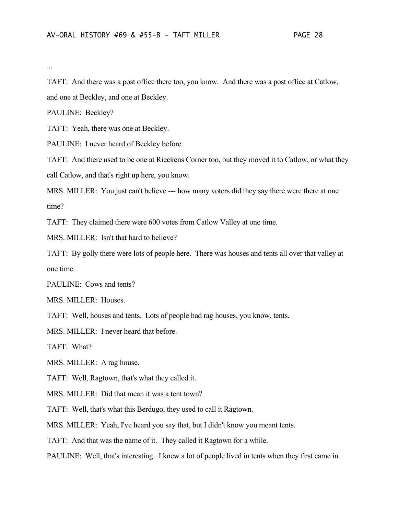...

TAFT: And there was a post office there too, you know. And there was a post office at Catlow, and one at Beckley, and one at Beckley.

PAULINE: Beckley?

TAFT: Yeah, there was one at Beckley.

PAULINE: I never heard of Beckley before.

TAFT: And there used to be one at Rieckens Corner too, but they moved it to Catlow, or what they call Catlow, and that's right up here, you know.

MRS. MILLER: You just can't believe --- how many voters did they say there were there at one time?

TAFT: They claimed there were 600 votes from Catlow Valley at one time.

MRS. MILLER: Isn't that hard to believe?

TAFT: By golly there were lots of people here. There was houses and tents all over that valley at one time.

PAULINE: Cows and tents?

MRS. MILLER: Houses.

TAFT: Well, houses and tents. Lots of people had rag houses, you know, tents.

MRS. MILLER: I never heard that before.

TAFT: What?

MRS. MILLER: A rag house.

TAFT: Well, Ragtown, that's what they called it.

MRS. MILLER: Did that mean it was a tent town?

TAFT: Well, that's what this Berdugo, they used to call it Ragtown.

MRS. MILLER: Yeah, I've heard you say that, but I didn't know you meant tents.

TAFT: And that was the name of it. They called it Ragtown for a while.

PAULINE: Well, that's interesting. I knew a lot of people lived in tents when they first came in.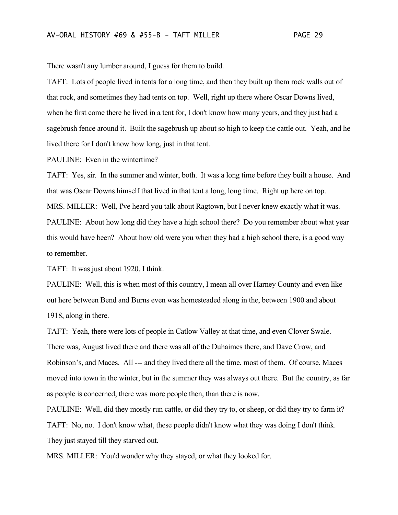There wasn't any lumber around, I guess for them to build.

TAFT: Lots of people lived in tents for a long time, and then they built up them rock walls out of that rock, and sometimes they had tents on top. Well, right up there where Oscar Downs lived, when he first come there he lived in a tent for, I don't know how many years, and they just had a sagebrush fence around it. Built the sagebrush up about so high to keep the cattle out. Yeah, and he lived there for I don't know how long, just in that tent.

PAULINE: Even in the wintertime?

TAFT: Yes, sir. In the summer and winter, both. It was a long time before they built a house. And that was Oscar Downs himself that lived in that tent a long, long time. Right up here on top. MRS. MILLER: Well, I've heard you talk about Ragtown, but I never knew exactly what it was. PAULINE: About how long did they have a high school there? Do you remember about what year this would have been? About how old were you when they had a high school there, is a good way to remember.

TAFT: It was just about 1920, I think.

PAULINE: Well, this is when most of this country, I mean all over Harney County and even like out here between Bend and Burns even was homesteaded along in the, between 1900 and about 1918, along in there.

TAFT: Yeah, there were lots of people in Catlow Valley at that time, and even Clover Swale. There was, August lived there and there was all of the Duhaimes there, and Dave Crow, and Robinson's, and Maces. All --- and they lived there all the time, most of them. Of course, Maces moved into town in the winter, but in the summer they was always out there. But the country, as far as people is concerned, there was more people then, than there is now.

PAULINE: Well, did they mostly run cattle, or did they try to, or sheep, or did they try to farm it? TAFT: No, no. I don't know what, these people didn't know what they was doing I don't think. They just stayed till they starved out.

MRS. MILLER: You'd wonder why they stayed, or what they looked for.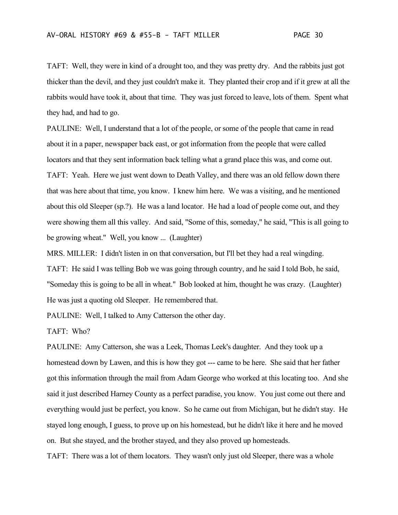TAFT: Well, they were in kind of a drought too, and they was pretty dry. And the rabbits just got thicker than the devil, and they just couldn't make it. They planted their crop and if it grew at all the rabbits would have took it, about that time. They was just forced to leave, lots of them. Spent what they had, and had to go.

PAULINE: Well, I understand that a lot of the people, or some of the people that came in read about it in a paper, newspaper back east, or got information from the people that were called locators and that they sent information back telling what a grand place this was, and come out. TAFT: Yeah. Here we just went down to Death Valley, and there was an old fellow down there that was here about that time, you know. I knew him here. We was a visiting, and he mentioned about this old Sleeper (sp.?). He was a land locator. He had a load of people come out, and they were showing them all this valley. And said, "Some of this, someday," he said, "This is all going to be growing wheat." Well, you know ... (Laughter)

MRS. MILLER: I didn't listen in on that conversation, but I'll bet they had a real wingding. TAFT: He said I was telling Bob we was going through country, and he said I told Bob, he said, "Someday this is going to be all in wheat." Bob looked at him, thought he was crazy. (Laughter) He was just a quoting old Sleeper. He remembered that.

PAULINE: Well, I talked to Amy Catterson the other day.

TAFT: Who?

PAULINE: Amy Catterson, she was a Leek, Thomas Leek's daughter. And they took up a homestead down by Lawen, and this is how they got --- came to be here. She said that her father got this information through the mail from Adam George who worked at this locating too. And she said it just described Harney County as a perfect paradise, you know. You just come out there and everything would just be perfect, you know. So he came out from Michigan, but he didn't stay. He stayed long enough, I guess, to prove up on his homestead, but he didn't like it here and he moved on. But she stayed, and the brother stayed, and they also proved up homesteads.

TAFT: There was a lot of them locators. They wasn't only just old Sleeper, there was a whole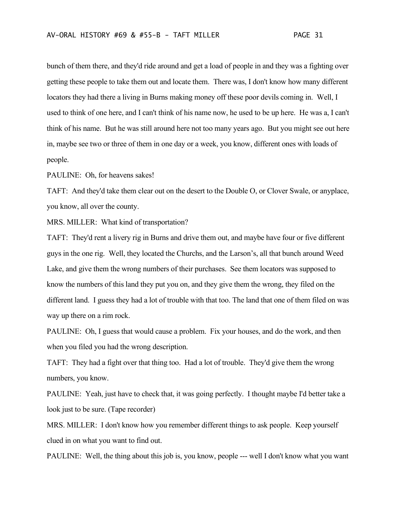bunch of them there, and they'd ride around and get a load of people in and they was a fighting over getting these people to take them out and locate them. There was, I don't know how many different locators they had there a living in Burns making money off these poor devils coming in. Well, I used to think of one here, and I can't think of his name now, he used to be up here. He was a, I can't think of his name. But he was still around here not too many years ago. But you might see out here in, maybe see two or three of them in one day or a week, you know, different ones with loads of people.

PAULINE: Oh, for heavens sakes!

TAFT: And they'd take them clear out on the desert to the Double O, or Clover Swale, or anyplace, you know, all over the county.

MRS. MILLER: What kind of transportation?

TAFT: They'd rent a livery rig in Burns and drive them out, and maybe have four or five different guys in the one rig. Well, they located the Churchs, and the Larson's, all that bunch around Weed Lake, and give them the wrong numbers of their purchases. See them locators was supposed to know the numbers of this land they put you on, and they give them the wrong, they filed on the different land. I guess they had a lot of trouble with that too. The land that one of them filed on was way up there on a rim rock.

PAULINE: Oh, I guess that would cause a problem. Fix your houses, and do the work, and then when you filed you had the wrong description.

TAFT: They had a fight over that thing too. Had a lot of trouble. They'd give them the wrong numbers, you know.

PAULINE: Yeah, just have to check that, it was going perfectly. I thought maybe I'd better take a look just to be sure. (Tape recorder)

MRS. MILLER: I don't know how you remember different things to ask people. Keep yourself clued in on what you want to find out.

PAULINE: Well, the thing about this job is, you know, people --- well I don't know what you want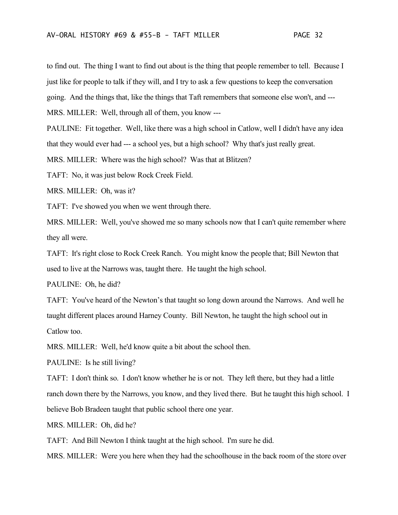to find out. The thing I want to find out about is the thing that people remember to tell. Because I just like for people to talk if they will, and I try to ask a few questions to keep the conversation going. And the things that, like the things that Taft remembers that someone else won't, and --- MRS. MILLER: Well, through all of them, you know ---

PAULINE: Fit together. Well, like there was a high school in Catlow, well I didn't have any idea that they would ever had --- a school yes, but a high school? Why that's just really great.

MRS. MILLER: Where was the high school? Was that at Blitzen?

TAFT: No, it was just below Rock Creek Field.

MRS. MILLER: Oh, was it?

TAFT: I've showed you when we went through there.

MRS. MILLER: Well, you've showed me so many schools now that I can't quite remember where they all were.

TAFT: It's right close to Rock Creek Ranch. You might know the people that; Bill Newton that used to live at the Narrows was, taught there. He taught the high school.

PAULINE: Oh, he did?

TAFT: You've heard of the Newton's that taught so long down around the Narrows. And well he taught different places around Harney County. Bill Newton, he taught the high school out in Catlow too.

MRS. MILLER: Well, he'd know quite a bit about the school then.

PAULINE: Is he still living?

TAFT: I don't think so. I don't know whether he is or not. They left there, but they had a little ranch down there by the Narrows, you know, and they lived there. But he taught this high school. I believe Bob Bradeen taught that public school there one year.

MRS. MILLER: Oh, did he?

TAFT: And Bill Newton I think taught at the high school. I'm sure he did.

MRS. MILLER: Were you here when they had the schoolhouse in the back room of the store over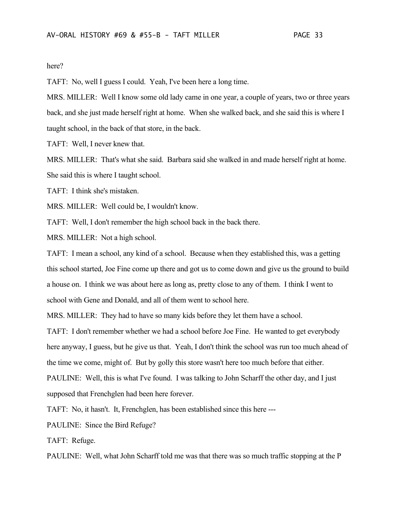here?

TAFT: No, well I guess I could. Yeah, I've been here a long time.

MRS. MILLER: Well I know some old lady came in one year, a couple of years, two or three years back, and she just made herself right at home. When she walked back, and she said this is where I taught school, in the back of that store, in the back.

TAFT: Well, I never knew that.

MRS. MILLER: That's what she said. Barbara said she walked in and made herself right at home. She said this is where I taught school.

TAFT: I think she's mistaken.

MRS. MILLER: Well could be, I wouldn't know.

TAFT: Well, I don't remember the high school back in the back there.

MRS. MILLER: Not a high school.

TAFT: I mean a school, any kind of a school. Because when they established this, was a getting this school started, Joe Fine come up there and got us to come down and give us the ground to build a house on. I think we was about here as long as, pretty close to any of them. I think I went to school with Gene and Donald, and all of them went to school here.

MRS. MILLER: They had to have so many kids before they let them have a school.

TAFT: I don't remember whether we had a school before Joe Fine. He wanted to get everybody here anyway, I guess, but he give us that. Yeah, I don't think the school was run too much ahead of the time we come, might of. But by golly this store wasn't here too much before that either. PAULINE: Well, this is what I've found. I was talking to John Scharff the other day, and I just supposed that Frenchglen had been here forever.

TAFT: No, it hasn't. It, Frenchglen, has been established since this here ---

PAULINE: Since the Bird Refuge?

TAFT: Refuge.

PAULINE: Well, what John Scharff told me was that there was so much traffic stopping at the P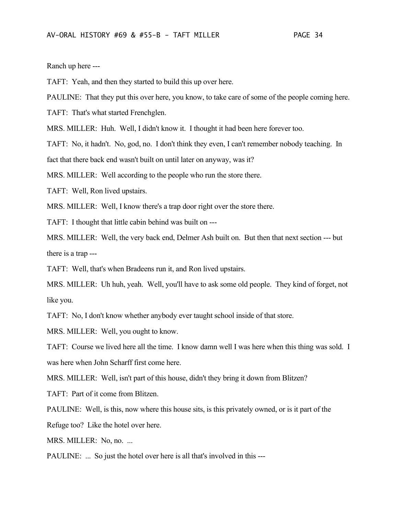Ranch up here ---

TAFT: Yeah, and then they started to build this up over here.

PAULINE: That they put this over here, you know, to take care of some of the people coming here.

TAFT: That's what started Frenchglen.

MRS. MILLER: Huh. Well, I didn't know it. I thought it had been here forever too.

TAFT: No, it hadn't. No, god, no. I don't think they even, I can't remember nobody teaching. In

fact that there back end wasn't built on until later on anyway, was it?

MRS. MILLER: Well according to the people who run the store there.

TAFT: Well, Ron lived upstairs.

MRS. MILLER: Well, I know there's a trap door right over the store there.

TAFT: I thought that little cabin behind was built on ---

MRS. MILLER: Well, the very back end, Delmer Ash built on. But then that next section --- but there is a trap ---

TAFT: Well, that's when Bradeens run it, and Ron lived upstairs.

MRS. MILLER: Uh huh, yeah. Well, you'll have to ask some old people. They kind of forget, not like you.

TAFT: No, I don't know whether anybody ever taught school inside of that store.

MRS. MILLER: Well, you ought to know.

TAFT: Course we lived here all the time. I know damn well I was here when this thing was sold. I was here when John Scharff first come here.

MRS. MILLER: Well, isn't part of this house, didn't they bring it down from Blitzen?

TAFT: Part of it come from Blitzen.

PAULINE: Well, is this, now where this house sits, is this privately owned, or is it part of the

Refuge too? Like the hotel over here.

MRS. MILLER: No, no. ...

PAULINE: ... So just the hotel over here is all that's involved in this ---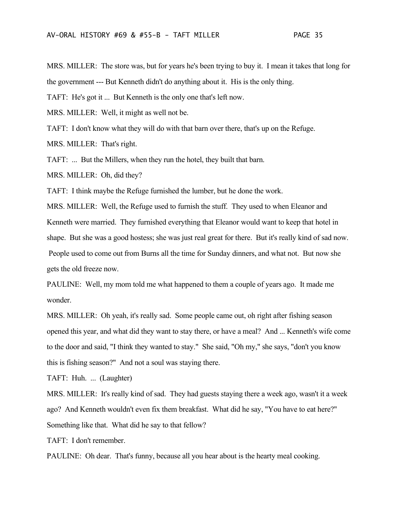MRS. MILLER: The store was, but for years he's been trying to buy it. I mean it takes that long for the government --- But Kenneth didn't do anything about it. His is the only thing.

TAFT: He's got it ... But Kenneth is the only one that's left now.

MRS. MILLER: Well, it might as well not be.

TAFT: I don't know what they will do with that barn over there, that's up on the Refuge.

MRS. MILLER: That's right.

TAFT: ... But the Millers, when they run the hotel, they built that barn.

MRS. MILLER: Oh, did they?

TAFT: I think maybe the Refuge furnished the lumber, but he done the work.

MRS. MILLER: Well, the Refuge used to furnish the stuff. They used to when Eleanor and Kenneth were married. They furnished everything that Eleanor would want to keep that hotel in shape. But she was a good hostess; she was just real great for there. But it's really kind of sad now. People used to come out from Burns all the time for Sunday dinners, and what not. But now she gets the old freeze now.

PAULINE: Well, my mom told me what happened to them a couple of years ago. It made me wonder.

MRS. MILLER: Oh yeah, it's really sad. Some people came out, oh right after fishing season opened this year, and what did they want to stay there, or have a meal? And ... Kenneth's wife come to the door and said, "I think they wanted to stay." She said, "Oh my," she says, "don't you know this is fishing season?" And not a soul was staying there.

TAFT: Huh. ... (Laughter)

MRS. MILLER: It's really kind of sad. They had guests staying there a week ago, wasn't it a week ago? And Kenneth wouldn't even fix them breakfast. What did he say, "You have to eat here?" Something like that. What did he say to that fellow?

TAFT: I don't remember.

PAULINE: Oh dear. That's funny, because all you hear about is the hearty meal cooking.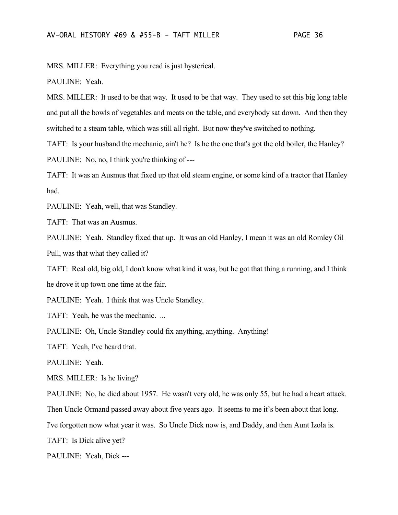MRS. MILLER: Everything you read is just hysterical.

PAULINE: Yeah.

MRS. MILLER: It used to be that way. It used to be that way. They used to set this big long table and put all the bowls of vegetables and meats on the table, and everybody sat down. And then they switched to a steam table, which was still all right. But now they've switched to nothing.

TAFT: Is your husband the mechanic, ain't he? Is he the one that's got the old boiler, the Hanley? PAULINE: No, no, I think you're thinking of ---

TAFT: It was an Ausmus that fixed up that old steam engine, or some kind of a tractor that Hanley had.

PAULINE: Yeah, well, that was Standley.

TAFT: That was an Ausmus.

PAULINE: Yeah. Standley fixed that up. It was an old Hanley, I mean it was an old Romley Oil Pull, was that what they called it?

TAFT: Real old, big old, I don't know what kind it was, but he got that thing a running, and I think he drove it up town one time at the fair.

PAULINE: Yeah. I think that was Uncle Standley.

TAFT: Yeah, he was the mechanic. ...

PAULINE: Oh, Uncle Standley could fix anything, anything. Anything!

TAFT: Yeah, I've heard that.

PAULINE: Yeah.

MRS. MILLER: Is he living?

PAULINE: No, he died about 1957. He wasn't very old, he was only 55, but he had a heart attack.

Then Uncle Ormand passed away about five years ago. It seems to me it's been about that long.

I've forgotten now what year it was. So Uncle Dick now is, and Daddy, and then Aunt Izola is.

TAFT: Is Dick alive yet?

PAULINE: Yeah, Dick ---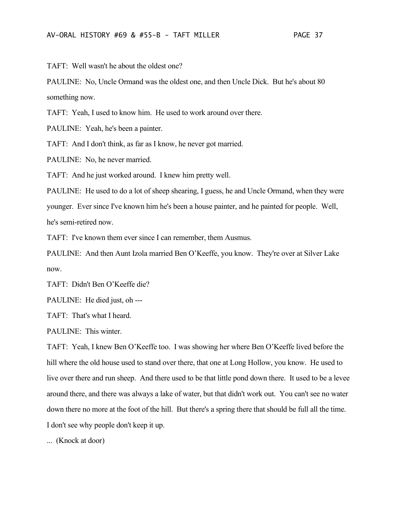TAFT: Well wasn't he about the oldest one?

PAULINE: No, Uncle Ormand was the oldest one, and then Uncle Dick. But he's about 80 something now.

TAFT: Yeah, I used to know him. He used to work around over there.

PAULINE: Yeah, he's been a painter.

TAFT: And I don't think, as far as I know, he never got married.

PAULINE: No, he never married.

TAFT: And he just worked around. I knew him pretty well.

PAULINE: He used to do a lot of sheep shearing, I guess, he and Uncle Ormand, when they were younger. Ever since I've known him he's been a house painter, and he painted for people. Well, he's semi-retired now.

TAFT: I've known them ever since I can remember, them Ausmus.

PAULINE: And then Aunt Izola married Ben O'Keeffe, you know. They're over at Silver Lake now.

TAFT: Didn't Ben O'Keeffe die?

PAULINE: He died just, oh ---

TAFT: That's what I heard.

PAULINE: This winter.

TAFT: Yeah, I knew Ben O'Keeffe too. I was showing her where Ben O'Keeffe lived before the hill where the old house used to stand over there, that one at Long Hollow, you know. He used to live over there and run sheep. And there used to be that little pond down there. It used to be a levee around there, and there was always a lake of water, but that didn't work out. You can't see no water down there no more at the foot of the hill. But there's a spring there that should be full all the time. I don't see why people don't keep it up.

... (Knock at door)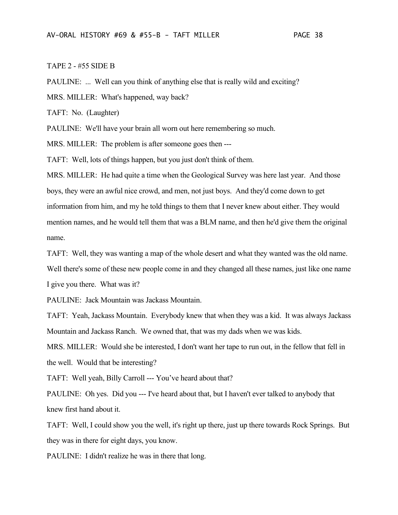### TAPE 2 - #55 SIDE B

PAULINE: ... Well can you think of anything else that is really wild and exciting?

MRS. MILLER: What's happened, way back?

TAFT: No. (Laughter)

PAULINE: We'll have your brain all worn out here remembering so much.

MRS. MILLER: The problem is after someone goes then ---

TAFT: Well, lots of things happen, but you just don't think of them.

MRS. MILLER: He had quite a time when the Geological Survey was here last year. And those boys, they were an awful nice crowd, and men, not just boys. And they'd come down to get information from him, and my he told things to them that I never knew about either. They would mention names, and he would tell them that was a BLM name, and then he'd give them the original name.

TAFT: Well, they was wanting a map of the whole desert and what they wanted was the old name. Well there's some of these new people come in and they changed all these names, just like one name I give you there. What was it?

PAULINE: Jack Mountain was Jackass Mountain.

TAFT: Yeah, Jackass Mountain. Everybody knew that when they was a kid. It was always Jackass Mountain and Jackass Ranch. We owned that, that was my dads when we was kids.

MRS. MILLER: Would she be interested, I don't want her tape to run out, in the fellow that fell in the well. Would that be interesting?

TAFT: Well yeah, Billy Carroll --- You've heard about that?

PAULINE: Oh yes. Did you --- I've heard about that, but I haven't ever talked to anybody that knew first hand about it.

TAFT: Well, I could show you the well, it's right up there, just up there towards Rock Springs. But they was in there for eight days, you know.

PAULINE: I didn't realize he was in there that long.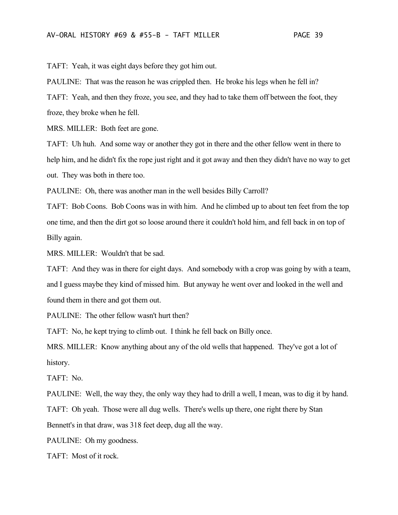TAFT: Yeah, it was eight days before they got him out.

PAULINE: That was the reason he was crippled then. He broke his legs when he fell in?

TAFT: Yeah, and then they froze, you see, and they had to take them off between the foot, they froze, they broke when he fell.

MRS. MILLER: Both feet are gone.

TAFT: Uh huh. And some way or another they got in there and the other fellow went in there to help him, and he didn't fix the rope just right and it got away and then they didn't have no way to get out. They was both in there too.

PAULINE: Oh, there was another man in the well besides Billy Carroll?

TAFT: Bob Coons. Bob Coons was in with him. And he climbed up to about ten feet from the top one time, and then the dirt got so loose around there it couldn't hold him, and fell back in on top of Billy again.

MRS. MILLER: Wouldn't that be sad.

TAFT: And they was in there for eight days. And somebody with a crop was going by with a team, and I guess maybe they kind of missed him. But anyway he went over and looked in the well and found them in there and got them out.

PAULINE: The other fellow wasn't hurt then?

TAFT: No, he kept trying to climb out. I think he fell back on Billy once.

MRS. MILLER: Know anything about any of the old wells that happened. They've got a lot of history.

TAFT: No.

PAULINE: Well, the way they, the only way they had to drill a well, I mean, was to dig it by hand.

TAFT: Oh yeah. Those were all dug wells. There's wells up there, one right there by Stan Bennett's in that draw, was 318 feet deep, dug all the way.

PAULINE: Oh my goodness.

TAFT: Most of it rock.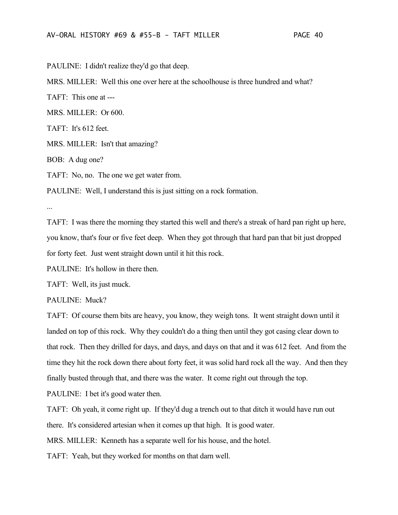PAULINE: I didn't realize they'd go that deep.

MRS. MILLER: Well this one over here at the schoolhouse is three hundred and what?

TAFT: This one at ---

MRS. MILLER: Or 600.

TAFT: It's 612 feet.

MRS. MILLER: Isn't that amazing?

BOB: A dug one?

TAFT: No, no. The one we get water from.

PAULINE: Well, I understand this is just sitting on a rock formation.

...

TAFT: I was there the morning they started this well and there's a streak of hard pan right up here, you know, that's four or five feet deep. When they got through that hard pan that bit just dropped for forty feet. Just went straight down until it hit this rock.

PAULINE: It's hollow in there then.

TAFT: Well, its just muck.

PAULINE: Muck?

TAFT: Of course them bits are heavy, you know, they weigh tons. It went straight down until it landed on top of this rock. Why they couldn't do a thing then until they got casing clear down to that rock. Then they drilled for days, and days, and days on that and it was 612 feet. And from the time they hit the rock down there about forty feet, it was solid hard rock all the way. And then they finally busted through that, and there was the water. It come right out through the top.

PAULINE: I bet it's good water then.

TAFT: Oh yeah, it come right up. If they'd dug a trench out to that ditch it would have run out there. It's considered artesian when it comes up that high. It is good water.

MRS. MILLER: Kenneth has a separate well for his house, and the hotel.

TAFT: Yeah, but they worked for months on that darn well.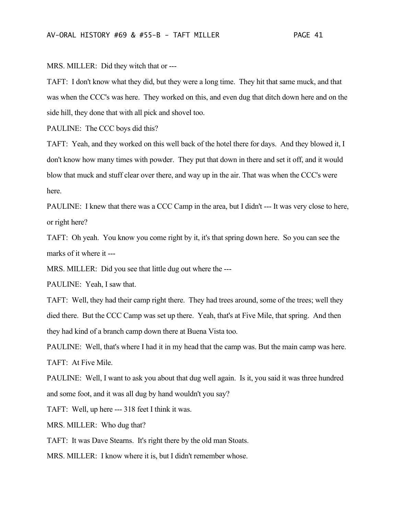TAFT: I don't know what they did, but they were a long time. They hit that same muck, and that was when the CCC's was here. They worked on this, and even dug that ditch down here and on the side hill, they done that with all pick and shovel too.

PAULINE: The CCC boys did this?

MRS. MILLER: Did they witch that or ---

TAFT: Yeah, and they worked on this well back of the hotel there for days. And they blowed it, I don't know how many times with powder. They put that down in there and set it off, and it would blow that muck and stuff clear over there, and way up in the air. That was when the CCC's were here.

PAULINE: I knew that there was a CCC Camp in the area, but I didn't --- It was very close to here, or right here?

TAFT: Oh yeah. You know you come right by it, it's that spring down here. So you can see the marks of it where it ---

MRS. MILLER: Did you see that little dug out where the ---

PAULINE: Yeah, I saw that.

TAFT: Well, they had their camp right there. They had trees around, some of the trees; well they died there. But the CCC Camp was set up there. Yeah, that's at Five Mile, that spring. And then they had kind of a branch camp down there at Buena Vista too.

PAULINE: Well, that's where I had it in my head that the camp was. But the main camp was here. TAFT: At Five Mile.

PAULINE: Well, I want to ask you about that dug well again. Is it, you said it was three hundred and some foot, and it was all dug by hand wouldn't you say?

TAFT: Well, up here --- 318 feet I think it was.

MRS. MILLER: Who dug that?

TAFT: It was Dave Stearns. It's right there by the old man Stoats.

MRS. MILLER: I know where it is, but I didn't remember whose.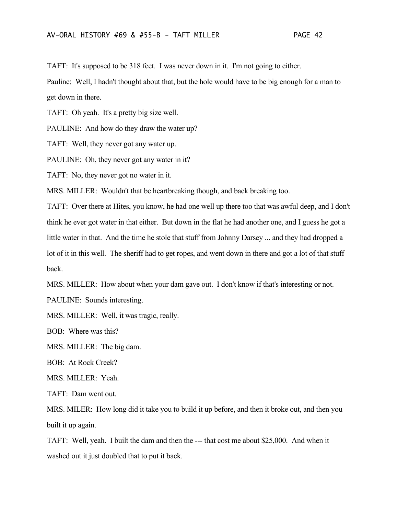TAFT: It's supposed to be 318 feet. I was never down in it. I'm not going to either.

Pauline: Well, I hadn't thought about that, but the hole would have to be big enough for a man to get down in there.

TAFT: Oh yeah. It's a pretty big size well.

PAULINE: And how do they draw the water up?

TAFT: Well, they never got any water up.

PAULINE: Oh, they never got any water in it?

TAFT: No, they never got no water in it.

MRS. MILLER: Wouldn't that be heartbreaking though, and back breaking too.

TAFT: Over there at Hites, you know, he had one well up there too that was awful deep, and I don't think he ever got water in that either. But down in the flat he had another one, and I guess he got a little water in that. And the time he stole that stuff from Johnny Darsey ... and they had dropped a lot of it in this well. The sheriff had to get ropes, and went down in there and got a lot of that stuff back.

MRS. MILLER: How about when your dam gave out. I don't know if that's interesting or not.

PAULINE: Sounds interesting.

MRS. MILLER: Well, it was tragic, really.

BOB: Where was this?

MRS. MILLER: The big dam.

BOB: At Rock Creek?

MRS. MILLER: Yeah.

TAFT: Dam went out.

MRS. MILER: How long did it take you to build it up before, and then it broke out, and then you built it up again.

TAFT: Well, yeah. I built the dam and then the --- that cost me about \$25,000. And when it washed out it just doubled that to put it back.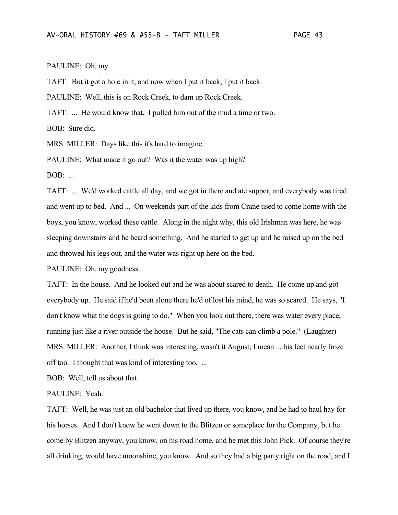### PAULINE: Oh, my.

TAFT: But it got a hole in it, and now when I put it back, I put it back.

PAULINE: Well, this is on Rock Creek, to dam up Rock Creek.

TAFT: ... He would know that. I pulled him out of the mud a time or two.

BOB: Sure did.

MRS. MILLER: Days like this it's hard to imagine.

PAULINE: What made it go out? Was it the water was up high?

BOB: ...

TAFT: ... We'd worked cattle all day, and we got in there and ate supper, and everybody was tired and went up to bed. And ... On weekends part of the kids from Crane used to come home with the boys, you know, worked these cattle. Along in the night why, this old Irishman was here, he was sleeping downstairs and he heard something. And he started to get up and he raised up on the bed and throwed his legs out, and the water was right up here on the bed.

PAULINE: Oh, my goodness.

TAFT: In the house. And he looked out and he was about scared to death. He come up and got everybody up. He said if he'd been alone there he'd of lost his mind, he was so scared. He says, "I don't know what the dogs is going to do." When you look out there, there was water every place, running just like a river outside the house. But he said, "The cats can climb a pole." (Laughter) MRS. MILLER: Another, I think was interesting, wasn't it August; I mean ... his feet nearly froze off too. I thought that was kind of interesting too. ...

BOB: Well, tell us about that.

PAULINE: Yeah.

TAFT: Well, he was just an old bachelor that lived up there, you know, and he had to haul hay for his horses. And I don't know he went down to the Blitzen or someplace for the Company, but he come by Blitzen anyway, you know, on his road home, and he met this John Pick. Of course they're all drinking, would have moonshine, you know. And so they had a big party right on the road, and I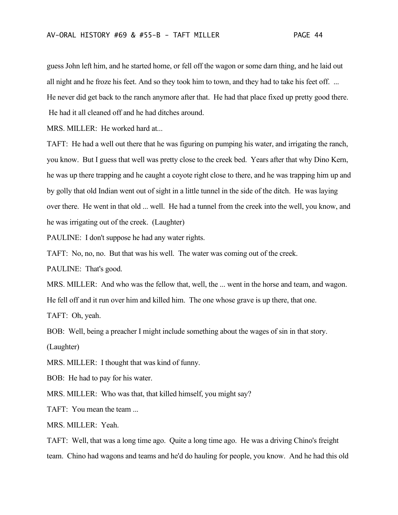guess John left him, and he started home, or fell off the wagon or some darn thing, and he laid out all night and he froze his feet. And so they took him to town, and they had to take his feet off. ... He never did get back to the ranch anymore after that. He had that place fixed up pretty good there. He had it all cleaned off and he had ditches around.

MRS. MILLER: He worked hard at...

TAFT: He had a well out there that he was figuring on pumping his water, and irrigating the ranch, you know. But I guess that well was pretty close to the creek bed. Years after that why Dino Kern, he was up there trapping and he caught a coyote right close to there, and he was trapping him up and by golly that old Indian went out of sight in a little tunnel in the side of the ditch. He was laying over there. He went in that old ... well. He had a tunnel from the creek into the well, you know, and he was irrigating out of the creek. (Laughter)

PAULINE: I don't suppose he had any water rights.

TAFT: No, no, no. But that was his well. The water was coming out of the creek.

PAULINE: That's good.

MRS. MILLER: And who was the fellow that, well, the ... went in the horse and team, and wagon. He fell off and it run over him and killed him. The one whose grave is up there, that one.

TAFT: Oh, yeah.

BOB: Well, being a preacher I might include something about the wages of sin in that story.

(Laughter)

MRS. MILLER: I thought that was kind of funny.

BOB: He had to pay for his water.

MRS. MILLER: Who was that, that killed himself, you might say?

TAFT: You mean the team ...

MRS. MILLER: Yeah.

TAFT: Well, that was a long time ago. Quite a long time ago. He was a driving Chino's freight team. Chino had wagons and teams and he'd do hauling for people, you know. And he had this old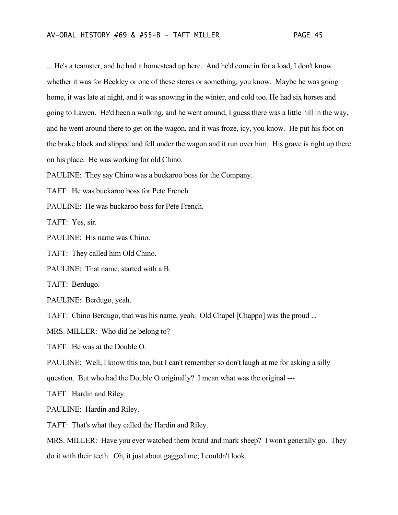... He's a teamster, and he had a homestead up here. And he'd come in for a load, I don't know whether it was for Beckley or one of these stores or something, you know. Maybe he was going home, it was late at night, and it was snowing in the winter, and cold too. He had six horses and going to Lawen. He'd been a walking, and he went around, I guess there was a little hill in the way, and he went around there to get on the wagon, and it was froze, icy, you know. He put his foot on the brake block and slipped and fell under the wagon and it run over him. His grave is right up there on his place. He was working for old Chino.

PAULINE: They say Chino was a buckaroo boss for the Company.

TAFT: He was buckaroo boss for Pete French.

PAULINE: He was buckaroo boss for Pete French.

TAFT: Yes, sir.

PAULINE: His name was Chino.

TAFT: They called him Old Chino.

PAULINE: That name, started with a B.

TAFT: Berdugo.

PAULINE: Berdugo, yeah.

TAFT: Chino Berdugo, that was his name, yeah. Old Chapel [Chappo] was the proud ...

MRS. MILLER: Who did he belong to?

TAFT: He was at the Double O.

PAULINE: Well, I know this too, but I can't remember so don't laugh at me for asking a silly

question. But who had the Double O originally? I mean what was the original ---

TAFT: Hardin and Riley.

PAULINE: Hardin and Riley.

TAFT: That's what they called the Hardin and Riley.

MRS. MILLER: Have you ever watched them brand and mark sheep? I won't generally go. They do it with their teeth. Oh, it just about gagged me; I couldn't look.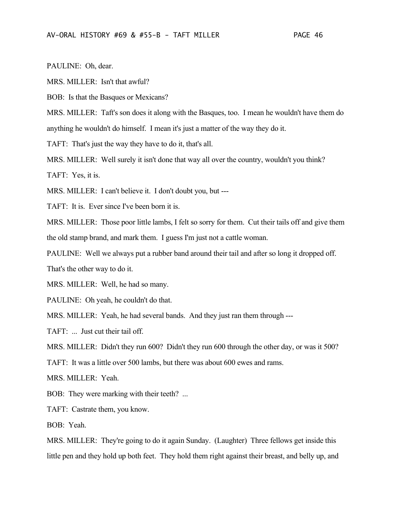PAULINE: Oh, dear.

MRS. MILLER: Isn't that awful?

BOB: Is that the Basques or Mexicans?

MRS. MILLER: Taft's son does it along with the Basques, too. I mean he wouldn't have them do anything he wouldn't do himself. I mean it's just a matter of the way they do it.

TAFT: That's just the way they have to do it, that's all.

MRS. MILLER: Well surely it isn't done that way all over the country, wouldn't you think?

TAFT: Yes, it is.

MRS. MILLER: I can't believe it. I don't doubt you, but ---

TAFT: It is. Ever since I've been born it is.

MRS. MILLER: Those poor little lambs, I felt so sorry for them. Cut their tails off and give them the old stamp brand, and mark them. I guess I'm just not a cattle woman.

PAULINE: Well we always put a rubber band around their tail and after so long it dropped off.

That's the other way to do it.

MRS. MILLER: Well, he had so many.

PAULINE: Oh yeah, he couldn't do that.

MRS. MILLER: Yeah, he had several bands. And they just ran them through ---

TAFT: ... Just cut their tail off.

MRS. MILLER: Didn't they run 600? Didn't they run 600 through the other day, or was it 500?

TAFT: It was a little over 500 lambs, but there was about 600 ewes and rams.

MRS. MILLER: Yeah.

BOB: They were marking with their teeth? ...

TAFT: Castrate them, you know.

BOB: Yeah.

MRS. MILLER: They're going to do it again Sunday. (Laughter) Three fellows get inside this little pen and they hold up both feet. They hold them right against their breast, and belly up, and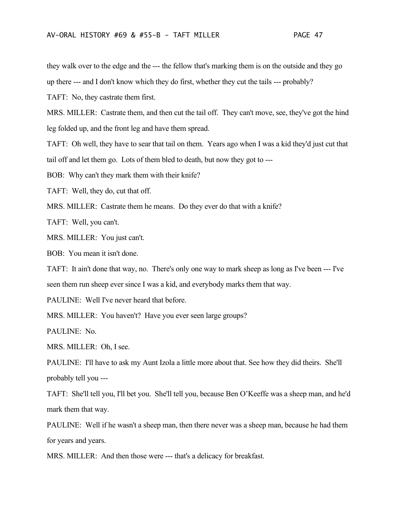they walk over to the edge and the --- the fellow that's marking them is on the outside and they go

up there --- and I don't know which they do first, whether they cut the tails --- probably?

TAFT: No, they castrate them first.

MRS. MILLER: Castrate them, and then cut the tail off. They can't move, see, they've got the hind leg folded up, and the front leg and have them spread.

TAFT: Oh well, they have to sear that tail on them. Years ago when I was a kid they'd just cut that tail off and let them go. Lots of them bled to death, but now they got to ---

BOB: Why can't they mark them with their knife?

TAFT: Well, they do, cut that off.

MRS. MILLER: Castrate them he means. Do they ever do that with a knife?

TAFT: Well, you can't.

MRS. MILLER: You just can't.

BOB: You mean it isn't done.

TAFT: It ain't done that way, no. There's only one way to mark sheep as long as I've been --- I've seen them run sheep ever since I was a kid, and everybody marks them that way.

PAULINE: Well I've never heard that before.

MRS. MILLER: You haven't? Have you ever seen large groups?

PAULINE: No.

MRS. MILLER: Oh, I see.

PAULINE: I'll have to ask my Aunt Izola a little more about that. See how they did theirs. She'll probably tell you ---

TAFT: She'll tell you, I'll bet you. She'll tell you, because Ben O'Keeffe was a sheep man, and he'd mark them that way.

PAULINE: Well if he wasn't a sheep man, then there never was a sheep man, because he had them for years and years.

MRS. MILLER: And then those were --- that's a delicacy for breakfast.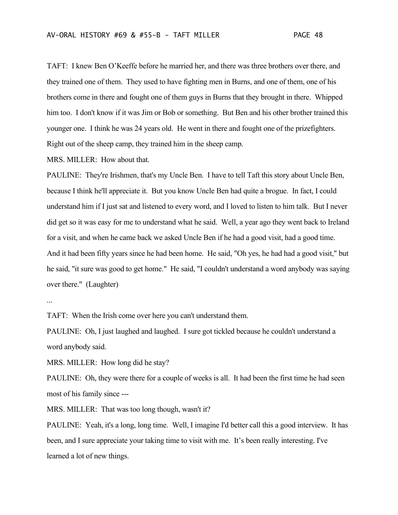TAFT: I knew Ben O'Keeffe before he married her, and there was three brothers over there, and they trained one of them. They used to have fighting men in Burns, and one of them, one of his brothers come in there and fought one of them guys in Burns that they brought in there. Whipped him too. I don't know if it was Jim or Bob or something. But Ben and his other brother trained this younger one. I think he was 24 years old. He went in there and fought one of the prizefighters. Right out of the sheep camp, they trained him in the sheep camp.

MRS. MILLER: How about that.

PAULINE: They're Irishmen, that's my Uncle Ben. I have to tell Taft this story about Uncle Ben, because I think he'll appreciate it. But you know Uncle Ben had quite a brogue. In fact, I could understand him if I just sat and listened to every word, and I loved to listen to him talk. But I never did get so it was easy for me to understand what he said. Well, a year ago they went back to Ireland for a visit, and when he came back we asked Uncle Ben if he had a good visit, had a good time. And it had been fifty years since he had been home. He said, "Oh yes, he had had a good visit," but he said, "it sure was good to get home." He said, "I couldn't understand a word anybody was saying over there." (Laughter)

...

TAFT: When the Irish come over here you can't understand them.

PAULINE: Oh, I just laughed and laughed. I sure got tickled because he couldn't understand a word anybody said.

MRS. MILLER: How long did he stay?

PAULINE: Oh, they were there for a couple of weeks is all. It had been the first time he had seen most of his family since ---

MRS. MILLER: That was too long though, wasn't it?

PAULINE: Yeah, it's a long, long time. Well, I imagine I'd better call this a good interview. It has been, and I sure appreciate your taking time to visit with me. It's been really interesting. I've learned a lot of new things.